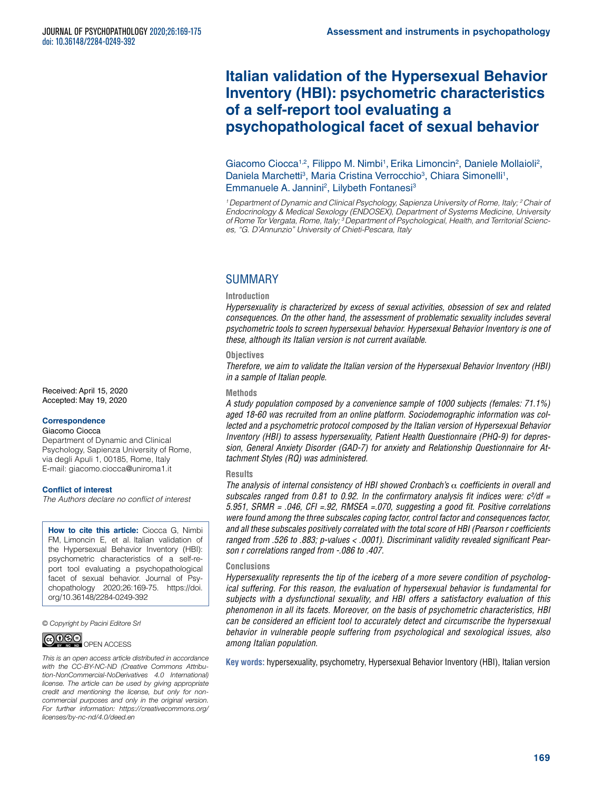# **Italian validation of the Hypersexual Behavior Inventory (HBI): psychometric characteristics of a self-report tool evaluating a psychopathological facet of sexual behavior**

Giacomo Ciocca<sup>1,2</sup>, Filippo M. Nimbi<sup>1</sup>, Erika Limoncin<sup>2</sup>, Daniele Mollaioli<sup>2</sup>, Daniela Marchetti<sup>3</sup>, Maria Cristina Verrocchio<sup>3</sup>, Chiara Simonelli<sup>1</sup>, Emmanuele A. Jannini<sup>2</sup>, Lilybeth Fontanesi<sup>3</sup>

*1 Department of Dynamic and Clinical Psychology, Sapienza University of Rome, Italy; 2 Chair of Endocrinology & Medical Sexology (ENDOSEX), Department of Systems Medicine, University of Rome Tor Vergata, Rome, Italy; 3 Department of Psychological, Health, and Territorial Sciences, "G. D'Annunzio" University of Chieti-Pescara, Italy*

# **SUMMARY**

#### **Introduction**

*Hypersexuality is characterized by excess of sexual activities, obsession of sex and related consequences. On the other hand, the assessment of problematic sexuality includes several psychometric tools to screen hypersexual behavior. Hypersexual Behavior Inventory is one of these, although its Italian version is not current available.* 

#### **Objectives**

*Therefore, we aim to validate the Italian version of the Hypersexual Behavior Inventory (HBI) in a sample of Italian people.*

### **Methods**

*A study population composed by a convenience sample of 1000 subjects (females: 71.1%) aged 18-60 was recruited from an online platform. Sociodemographic information was collected and a psychometric protocol composed by the Italian version of Hypersexual Behavior Inventory (HBI) to assess hypersexuality, Patient Health Questionnaire (PHQ-9) for depression, General Anxiety Disorder (GAD-7) for anxiety and Relationship Questionnaire for Attachment Styles (RQ) was administered.*

#### **Results**

*The analysis of internal consistency of HBI showed Cronbach's* α *coefficients in overall and subscales ranged from 0.81 to 0.92. In the confirmatory analysis fit indices were: c²/df = 5.951, SRMR = .046, CFI =.92, RMSEA =.070, suggesting a good fit. Positive correlations were found among the three subscales coping factor, control factor and consequences factor, and all these subscales positively correlated with the total score of HBI (Pearson r coefficients ranged from .526 to .883; p-values < .0001). Discriminant validity revealed significant Pearson r correlations ranged from -.086 to .407.* 

### **Conclusions**

*Hypersexuality represents the tip of the iceberg of a more severe condition of psychological suffering. For this reason, the evaluation of hypersexual behavior is fundamental for subjects with a dysfunctional sexuality, and HBI offers a satisfactory evaluation of this phenomenon in all its facets. Moreover, on the basis of psychometric characteristics, HBI can be considered an efficient tool to accurately detect and circumscribe the hypersexual behavior in vulnerable people suffering from psychological and sexological issues, also among Italian population.*

**Key words:** hypersexuality, psychometry, Hypersexual Behavior Inventory (HBI), Italian version

Received: April 15, 2020 Accepted: May 19, 2020

#### **Correspondence**

#### Giacomo Ciocca

Department of Dynamic and Clinical Psychology, Sapienza University of Rome, via degli Apuli 1, 00185, Rome, Italy E-mail: [giacomo.ciocca@uniroma1.it](mailto:giacomo.ciocca@uniroma1.it)

#### **Conflict of interest**

*The Authors declare no conflict of interest*

**How to cite this article:** Ciocca G, Nimbi FM, Limoncin E, et al. Italian validation of the Hypersexual Behavior Inventory (HBI): psychometric characteristics of a self-report tool evaluating a psychopathological facet of sexual behavior. Journal of Psychopathology 2020;26:169-75. [https://doi.](https://doi.org/10.36148/2284-0249-392) [org/10.36148/2284-0249-392](https://doi.org/10.36148/2284-0249-392)

*© Copyright by Pacini Editore Srl*



*This is an open access article distributed in accordance with the CC-BY-NC-ND (Creative Commons Attribution-NonCommercial-NoDerivatives 4.0 International) license. The article can be used by giving appropriate credit and mentioning the license, but only for noncommercial purposes and only in the original version. For further information: [https://creativecommons.org/](https://creativecommons.org/licenses/by-nc-nd/4.0/deed.en) [licenses/by-nc-nd/4.0/deed.en](https://creativecommons.org/licenses/by-nc-nd/4.0/deed.en)*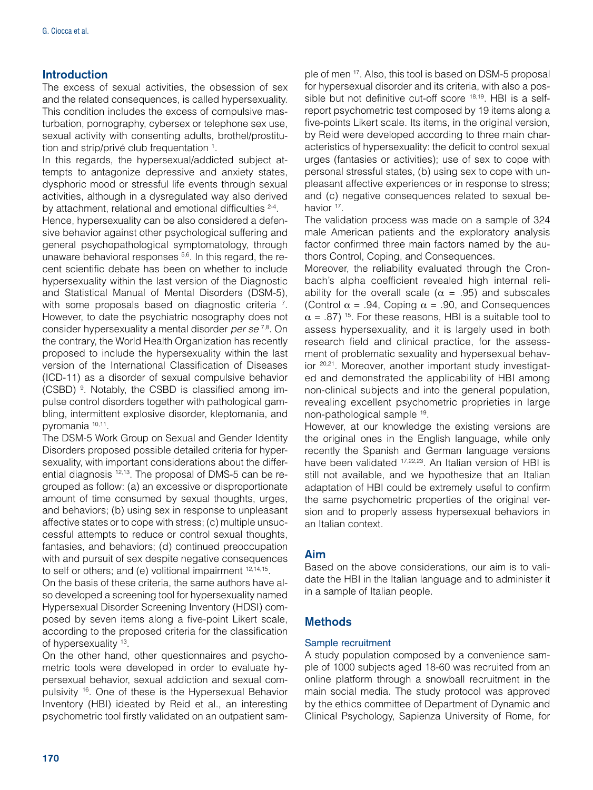# **Introduction**

The excess of sexual activities, the obsession of sex and the related consequences, is called hypersexuality. This condition includes the excess of compulsive masturbation, pornography, cybersex or telephone sex use, sexual activity with consenting adults, brothel/prostitution and strip/privé club frequentation <sup>1</sup>.

In this regards, the hypersexual/addicted subject attempts to antagonize depressive and anxiety states, dysphoric mood or stressful life events through sexual activities, although in a dysregulated way also derived by attachment, relational and emotional difficulties <sup>2-4</sup>.

Hence, hypersexuality can be also considered a defensive behavior against other psychological suffering and general psychopathological symptomatology, through unaware behavioral responses <sup>5,6</sup>. In this regard, the recent scientific debate has been on whether to include hypersexuality within the last version of the Diagnostic and Statistical Manual of Mental Disorders (DSM-5), with some proposals based on diagnostic criteria <sup>7</sup>. However, to date the psychiatric nosography does not consider hypersexuality a mental disorder *per se* 7,8. On the contrary, the World Health Organization has recently proposed to include the hypersexuality within the last version of the International Classification of Diseases (ICD-11) as a disorder of sexual compulsive behavior (CSBD) <sup>9</sup>. Notably, the CSBD is classified among impulse control disorders together with pathological gambling, intermittent explosive disorder, kleptomania, and pyromania 10,11.

The DSM-5 Work Group on Sexual and Gender Identity Disorders proposed possible detailed criteria for hypersexuality, with important considerations about the differential diagnosis 12,13. The proposal of DMS-5 can be regrouped as follow: (a) an excessive or disproportionate amount of time consumed by sexual thoughts, urges, and behaviors; (b) using sex in response to unpleasant affective states or to cope with stress; (c) multiple unsuccessful attempts to reduce or control sexual thoughts, fantasies, and behaviors; (d) continued preoccupation with and pursuit of sex despite negative consequences to self or others; and (e) volitional impairment 12,14,15.

On the basis of these criteria, the same authors have also developed a screening tool for hypersexuality named Hypersexual Disorder Screening Inventory (HDSI) composed by seven items along a five-point Likert scale, according to the proposed criteria for the classification of hypersexuality 13.

On the other hand, other questionnaires and psychometric tools were developed in order to evaluate hypersexual behavior, sexual addiction and sexual compulsivity 16. One of these is the Hypersexual Behavior Inventory (HBI) ideated by Reid et al., an interesting psychometric tool firstly validated on an outpatient sam-

ple of men 17. Also, this tool is based on DSM-5 proposal for hypersexual disorder and its criteria, with also a possible but not definitive cut-off score <sup>18,19</sup>. HBI is a selfreport psychometric test composed by 19 items along a five-points Likert scale. Its items, in the original version, by Reid were developed according to three main characteristics of hypersexuality: the deficit to control sexual urges (fantasies or activities); use of sex to cope with personal stressful states, (b) using sex to cope with unpleasant affective experiences or in response to stress; and (c) negative consequences related to sexual behavior <sup>17</sup>.

The validation process was made on a sample of 324 male American patients and the exploratory analysis factor confirmed three main factors named by the authors Control, Coping, and Consequences.

Moreover, the reliability evaluated through the Cronbach's alpha coefficient revealed high internal reliability for the overall scale ( $\alpha$  = .95) and subscales (Control  $\alpha$  = .94, Coping  $\alpha$  = .90, and Consequences  $\alpha$  = .87)<sup>15</sup>. For these reasons, HBI is a suitable tool to assess hypersexuality, and it is largely used in both research field and clinical practice, for the assessment of problematic sexuality and hypersexual behavior <sup>20,21</sup>. Moreover, another important study investigated and demonstrated the applicability of HBI among non-clinical subjects and into the general population, revealing excellent psychometric proprieties in large non-pathological sample 19.

However, at our knowledge the existing versions are the original ones in the English language, while only recently the Spanish and German language versions have been validated <sup>17,22,23</sup>. An Italian version of HBI is still not available, and we hypothesize that an Italian adaptation of HBI could be extremely useful to confirm the same psychometric properties of the original version and to properly assess hypersexual behaviors in an Italian context.

# Aim

Based on the above considerations, our aim is to validate the HBI in the Italian language and to administer it in a sample of Italian people.

# **Methods**

# Sample recruitment

A study population composed by a convenience sample of 1000 subjects aged 18-60 was recruited from an online platform through a snowball recruitment in the main social media. The study protocol was approved by the ethics committee of Department of Dynamic and Clinical Psychology, Sapienza University of Rome, for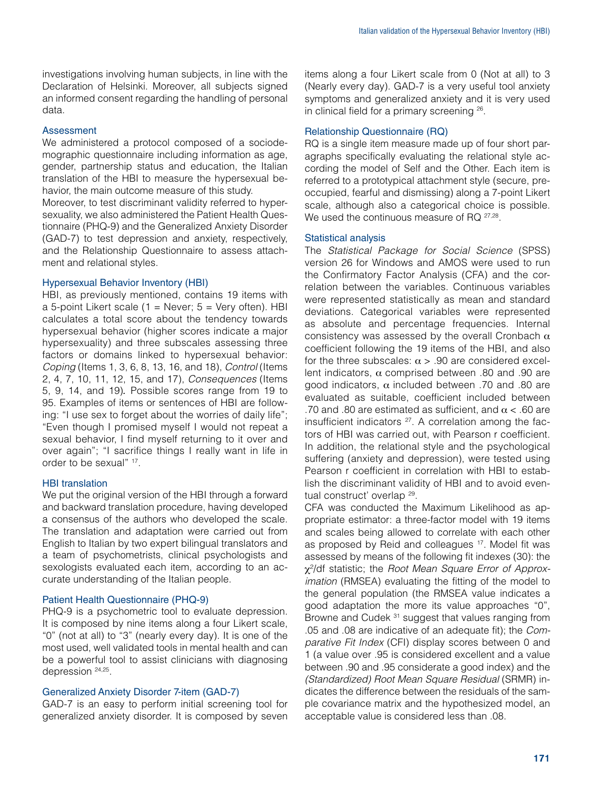investigations involving human subjects, in line with the Declaration of Helsinki. Moreover, all subjects signed an informed consent regarding the handling of personal data.

#### Assessment

We administered a protocol composed of a sociodemographic questionnaire including information as age, gender, partnership status and education, the Italian translation of the HBI to measure the hypersexual behavior, the main outcome measure of this study.

Moreover, to test discriminant validity referred to hypersexuality, we also administered the Patient Health Questionnaire (PHQ-9) and the Generalized Anxiety Disorder (GAD-7) to test depression and anxiety, respectively, and the Relationship Questionnaire to assess attachment and relational styles.

#### Hypersexual Behavior Inventory (HBI)

HBI, as previously mentioned, contains 19 items with a 5-point Likert scale  $(1 = \text{Never}; 5 = \text{Very often}).$  HBI calculates a total score about the tendency towards hypersexual behavior (higher scores indicate a major hypersexuality) and three subscales assessing three factors or domains linked to hypersexual behavior: *Coping* (Items 1, 3, 6, 8, 13, 16, and 18), *Control* (Items 2, 4, 7, 10, 11, 12, 15, and 17), *Consequences* (Items 5, 9, 14, and 19)*.* Possible scores range from 19 to 95. Examples of items or sentences of HBI are following: "I use sex to forget about the worries of daily life"; "Even though I promised myself I would not repeat a sexual behavior, I find myself returning to it over and over again"; "I sacrifice things I really want in life in order to be sexual" 17.

### HBI translation

We put the original version of the HBI through a forward and backward translation procedure, having developed a consensus of the authors who developed the scale. The translation and adaptation were carried out from English to Italian by two expert bilingual translators and a team of psychometrists, clinical psychologists and sexologists evaluated each item, according to an accurate understanding of the Italian people.

### Patient Health Questionnaire (PHQ-9)

PHQ-9 is a psychometric tool to evaluate depression. It is composed by nine items along a four Likert scale, "0" (not at all) to "3" (nearly every day). It is one of the most used, well validated tools in mental health and can be a powerful tool to assist clinicians with diagnosing depression 24,25.

### Generalized Anxiety Disorder 7-item (GAD-7)

GAD-7 is an easy to perform initial screening tool for generalized anxiety disorder. It is composed by seven items along a four Likert scale from 0 (Not at all) to 3 (Nearly every day). GAD-7 is a very useful tool anxiety symptoms and generalized anxiety and it is very used in clinical field for a primary screening 26.

#### Relationship Questionnaire (RQ)

RQ is a single item measure made up of four short paragraphs specifically evaluating the relational style according the model of Self and the Other. Each item is referred to a prototypical attachment style (secure, preoccupied, fearful and dismissing) along a 7-point Likert scale, although also a categorical choice is possible. We used the continuous measure of RQ  $27,28$ .

#### Statistical analysis

The *Statistical Package for Social Science* (SPSS) version 26 for Windows and AMOS were used to run the Confirmatory Factor Analysis (CFA) and the correlation between the variables. Continuous variables were represented statistically as mean and standard deviations. Categorical variables were represented as absolute and percentage frequencies. Internal consistency was assessed by the overall Cronbach  $\alpha$ coefficient following the 19 items of the HBI, and also for the three subscales:  $\alpha > .90$  are considered excellent indicators,  $\alpha$  comprised between .80 and .90 are good indicators, α included between .70 and .80 are evaluated as suitable, coefficient included between .70 and .80 are estimated as sufficient, and  $\alpha$  < .60 are insufficient indicators  $27$ . A correlation among the factors of HBI was carried out, with Pearson r coefficient. In addition, the relational style and the psychological suffering (anxiety and depression), were tested using Pearson r coefficient in correlation with HBI to establish the discriminant validity of HBI and to avoid eventual construct' overlap 29.

CFA was conducted the Maximum Likelihood as appropriate estimator: a three-factor model with 19 items and scales being allowed to correlate with each other as proposed by Reid and colleagues 17. Model fit was assessed by means of the following fit indexes (30): the χ²/df statistic; the *Root Mean Square Error of Approximation* (RMSEA) evaluating the fitting of the model to the general population (the RMSEA value indicates a good adaptation the more its value approaches "0", Browne and Cudek <sup>31</sup> suggest that values ranging from .05 and .08 are indicative of an adequate fit); the *Comparative Fit Index* (CFI) display scores between 0 and 1 (a value over .95 is considered excellent and a value between .90 and .95 considerate a good index) and the *(Standardized) Root Mean Square Residual* (SRMR) indicates the difference between the residuals of the sample covariance matrix and the hypothesized model, an acceptable value is considered less than .08.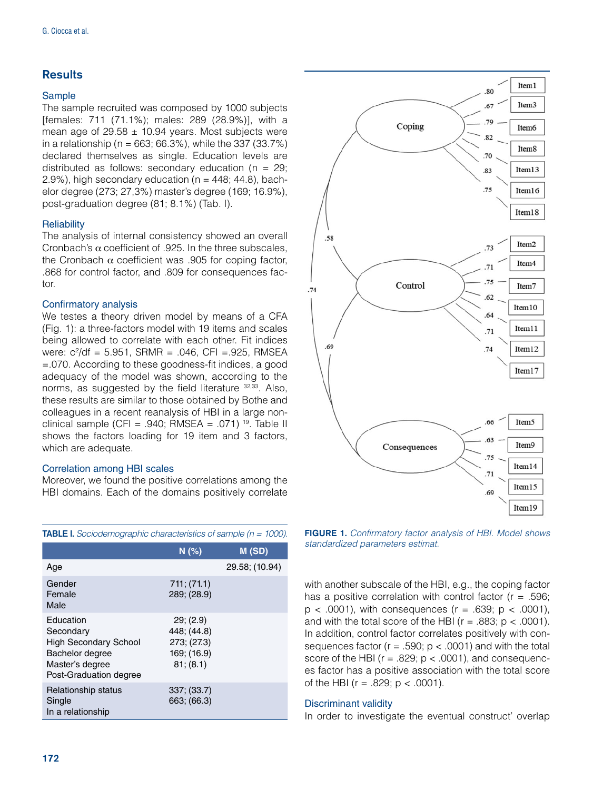# **Results**

# Sample

The sample recruited was composed by 1000 subjects [females: 711 (71.1%); males: 289 (28.9%)], with a mean age of  $29.58 \pm 10.94$  vears. Most subjects were in a relationship ( $n = 663$ ; 66.3%), while the 337 (33.7%) declared themselves as single. Education levels are distributed as follows: secondary education ( $n = 29$ ; 2.9%), high secondary education ( $n = 448$ ; 44.8), bachelor degree (273; 27,3%) master's degree (169; 16.9%), post-graduation degree (81; 8.1%) (Tab. I).

# **Reliability**

The analysis of internal consistency showed an overall Cronbach's  $\alpha$  coefficient of .925. In the three subscales, the Cronbach  $\alpha$  coefficient was .905 for coping factor, .868 for control factor, and .809 for consequences factor.

# Confirmatory analysis

We testes a theory driven model by means of a CFA (Fig. 1): a three-factors model with 19 items and scales being allowed to correlate with each other. Fit indices were:  $c^2$ /df = 5.951, SRMR = .046, CFI = .925, RMSEA =.070. According to these goodness-fit indices, a good adequacy of the model was shown, according to the norms, as suggested by the field literature  $32,33$ . Also, these results are similar to those obtained by Bothe and colleagues in a recent reanalysis of HBI in a large nonclinical sample (CFI = .940; RMSEA = .071)<sup>19</sup>. Table II shows the factors loading for 19 item and 3 factors, which are adequate.

### Correlation among HBI scales

Moreover, we found the positive correlations among the HBI domains. Each of the domains positively correlate

|                                                                                                                        | N(%)                                                              | M (SD)         |
|------------------------------------------------------------------------------------------------------------------------|-------------------------------------------------------------------|----------------|
| Age                                                                                                                    |                                                                   | 29.58; (10.94) |
| Gender<br>Female<br>Male                                                                                               | 711; (71.1)<br>289; (28.9)                                        |                |
| Education<br>Secondary<br><b>High Secondary School</b><br>Bachelor degree<br>Master's degree<br>Post-Graduation degree | 29; (2.9)<br>448; (44.8)<br>273; (27.3)<br>169; (16.9)<br>81(8.1) |                |
| Relationship status<br>Single<br>In a relationship                                                                     | 337; (33.7)<br>663; (66.3)                                        |                |



FIGURE 1. *Confirmatory factor analysis of HBI. Model shows standardized parameters estimat.* 

with another subscale of the HBI, e.g., the coping factor has a positive correlation with control factor ( $r = .596$ ;  $p < .0001$ ), with consequences ( $r = .639$ ;  $p < .0001$ ), and with the total score of the HBI ( $r = .883$ ;  $p < .0001$ ). In addition, control factor correlates positively with consequences factor ( $r = .590$ ;  $p < .0001$ ) and with the total score of the HBI ( $r = .829$ ;  $p < .0001$ ), and consequences factor has a positive association with the total score of the HBI ( $r = .829$ ;  $p < .0001$ ).

### Discriminant validity

In order to investigate the eventual construct' overlap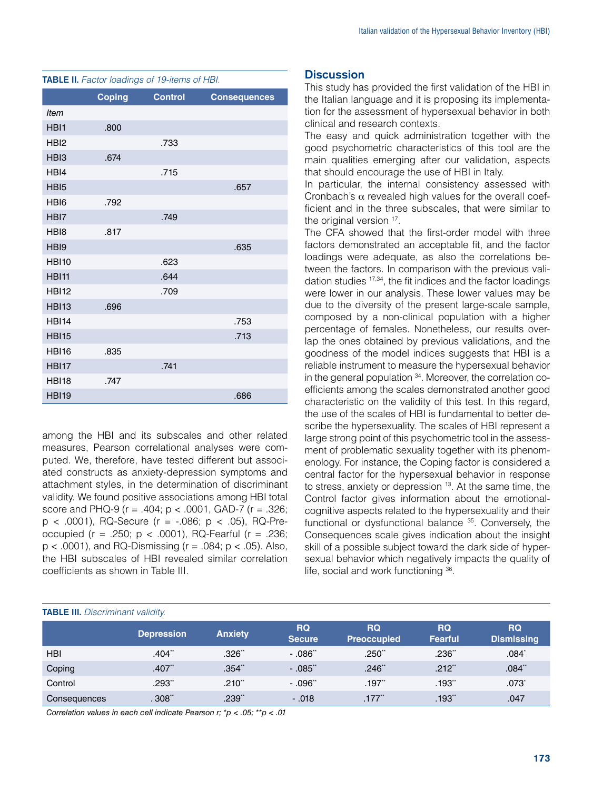|                  | <b>Coping</b> | <b>Control</b> | <b>Consequences</b> |
|------------------|---------------|----------------|---------------------|
| <b>Item</b>      |               |                |                     |
| HBI1             | .800          |                |                     |
| HBI <sub>2</sub> |               | .733           |                     |
| HBI <sub>3</sub> | .674          |                |                     |
| HBI4             |               | .715           |                     |
| HBI <sub>5</sub> |               |                | .657                |
| HBI <sub>6</sub> | .792          |                |                     |
| HBI7             |               | .749           |                     |
| HB <sub>18</sub> | .817          |                |                     |
| HBI9             |               |                | .635                |
| <b>HBI10</b>     |               | .623           |                     |
| <b>HBI11</b>     |               | .644           |                     |
| <b>HBI12</b>     |               | .709           |                     |
| <b>HBI13</b>     | .696          |                |                     |
| <b>HBI14</b>     |               |                | .753                |
| <b>HBI15</b>     |               |                | .713                |
| <b>HBI16</b>     | .835          |                |                     |
| <b>HBI17</b>     |               | .741           |                     |
| <b>HBI18</b>     | .747          |                |                     |
| <b>HBI19</b>     |               |                | .686                |

TABLE II. *Factor loadings of 19-items of HBI.*

among the HBI and its subscales and other related measures, Pearson correlational analyses were computed. We, therefore, have tested different but associated constructs as anxiety-depression symptoms and attachment styles, in the determination of discriminant validity. We found positive associations among HBI total score and PHQ-9 ( $r = .404$ ;  $p < .0001$ , GAD-7 ( $r = .326$ ;  $p$  < .0001), RQ-Secure ( $r = -0.086$ ;  $p$  < .05), RQ-Preoccupied (r = .250; p < .0001), RQ-Fearful (r = .236;  $p < .0001$ ), and RQ-Dismissing ( $r = .084$ ;  $p < .05$ ). Also, the HBI subscales of HBI revealed similar correlation coefficients as shown in Table III.

# **Discussion**

This study has provided the first validation of the HBI in the Italian language and it is proposing its implementation for the assessment of hypersexual behavior in both clinical and research contexts.

The easy and quick administration together with the good psychometric characteristics of this tool are the main qualities emerging after our validation, aspects that should encourage the use of HBI in Italy.

In particular, the internal consistency assessed with Cronbach's  $\alpha$  revealed high values for the overall coefficient and in the three subscales, that were similar to the original version <sup>17</sup>.

The CFA showed that the first-order model with three factors demonstrated an acceptable fit, and the factor loadings were adequate, as also the correlations between the factors. In comparison with the previous validation studies 17,34, the fit indices and the factor loadings were lower in our analysis. These lower values may be due to the diversity of the present large-scale sample, composed by a non-clinical population with a higher percentage of females. Nonetheless, our results overlap the ones obtained by previous validations, and the goodness of the model indices suggests that HBI is a reliable instrument to measure the hypersexual behavior in the general population 34. Moreover, the correlation coefficients among the scales demonstrated another good characteristic on the validity of this test. In this regard, the use of the scales of HBI is fundamental to better describe the hypersexuality. The scales of HBI represent a large strong point of this psychometric tool in the assessment of problematic sexuality together with its phenomenology. For instance, the Coping factor is considered a central factor for the hypersexual behavior in response to stress, anxiety or depression <sup>13</sup>. At the same time, the Control factor gives information about the emotionalcognitive aspects related to the hypersexuality and their functional or dysfunctional balance <sup>35</sup>. Conversely, the Consequences scale gives indication about the insight skill of a possible subject toward the dark side of hypersexual behavior which negatively impacts the quality of life, social and work functioning 36.

#### TABLE III. *Discriminant validity.*

|              | <b>Depression</b> | <b>Anxiety</b> | RQ<br><b>Secure</b> | <b>RQ</b><br><b>Preoccupied</b> | <b>RQ</b><br>Fearful | <b>RQ</b><br><b>Dismissing</b> |
|--------------|-------------------|----------------|---------------------|---------------------------------|----------------------|--------------------------------|
| <b>HBI</b>   | .404"             | .326"          | $-0.086$            | .250"                           | .236"                | .084*                          |
| Coping       | .407"             | .354"          | $-0.085$            | .246"                           | $.212$ <sup>**</sup> | .084"                          |
| Control      | .293"             | .210"          | $-0.96$             | .197                            | .193"                | .073                           |
| Consequences | .308"             | .239"          | $-.018$             | .177"                           | .193"                | .047                           |

*Correlation values in each cell indicate Pearson r; \*p < .05; \*\*p < .01*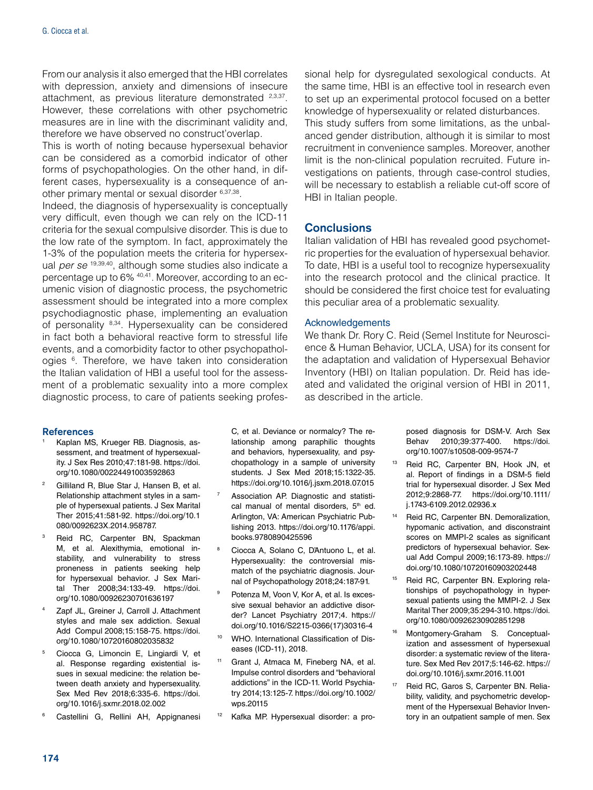From our analysis it also emerged that the HBI correlates with depression, anxiety and dimensions of insecure attachment, as previous literature demonstrated 2,3,37. However, these correlations with other psychometric measures are in line with the discriminant validity and, therefore we have observed no construct'overlap.

This is worth of noting because hypersexual behavior can be considered as a comorbid indicator of other forms of psychopathologies. On the other hand, in different cases, hypersexuality is a consequence of another primary mental or sexual disorder 6,37,38.

Indeed, the diagnosis of hypersexuality is conceptually very difficult, even though we can rely on the ICD-11 criteria for the sexual compulsive disorder. This is due to the low rate of the symptom. In fact, approximately the 1-3% of the population meets the criteria for hypersexual *per se* 19,39,40, although some studies also indicate a percentage up to 6% 40,41. Moreover, according to an ecumenic vision of diagnostic process, the psychometric assessment should be integrated into a more complex psychodiagnostic phase, implementing an evaluation of personality 8,34. Hypersexuality can be considered in fact both a behavioral reactive form to stressful life events, and a comorbidity factor to other psychopathologies <sup>6</sup>. Therefore, we have taken into consideration the Italian validation of HBI a useful tool for the assessment of a problematic sexuality into a more complex diagnostic process, to care of patients seeking professional help for dysregulated sexological conducts. At the same time, HBI is an effective tool in research even to set up an experimental protocol focused on a better knowledge of hypersexuality or related disturbances. This study suffers from some limitations, as the unbalanced gender distribution, although it is similar to most recruitment in convenience samples. Moreover, another limit is the non-clinical population recruited. Future investigations on patients, through case-control studies, will be necessary to establish a reliable cut-off score of HBI in Italian people.

# **Conclusions**

Italian validation of HBI has revealed good psychometric properties for the evaluation of hypersexual behavior. To date, HBI is a useful tool to recognize hypersexuality into the research protocol and the clinical practice. It should be considered the first choice test for evaluating this peculiar area of a problematic sexuality.

### Acknowledgements

We thank Dr. Rory C. Reid (Semel Institute for Neuroscience & Human Behavior, UCLA, USA) for its consent for the adaptation and validation of Hypersexual Behavior Inventory (HBI) on Italian population. Dr. Reid has ideated and validated the original version of HBI in 2011, as described in the article.

#### References

- Kaplan MS, Krueger RB. Diagnosis, assessment, and treatment of hypersexuality. J Sex Res 2010;47:181-98. [https://doi.](https://doi.org/10.1080/00224491003592863) [org/10.1080/00224491003592863](https://doi.org/10.1080/00224491003592863)
- <sup>2</sup> Gilliland R, Blue Star J, Hansen B, et al. Relationship attachment styles in a sample of hypersexual patients. J Sex Marital Ther 2015;41:581-92. [https://doi.org/10.1](https://doi.org/10.1080/0092623X.2014.958787.) [080/0092623X.2014.958787.](https://doi.org/10.1080/0092623X.2014.958787.)
- Reid RC, Carpenter BN, Spackman M, et al. Alexithymia, emotional instability, and vulnerability to stress proneness in patients seeking help for hypersexual behavior. J Sex Marital Ther 2008;34:133-49. [https://doi.](file:///Users/massimoarcidiacono/Desktop/Articoli%20SOPSI%202-15/Testi/ ) [org/10.1080/00926230701636197](file:///Users/massimoarcidiacono/Desktop/Articoli%20SOPSI%202-15/Testi/ )
- Zapf JL, Greiner J, Carroll J. Attachment styles and male sex addiction. Sexual Add Compul 2008;15:158-75. [https://doi.](https://doi.org/10.1080/10720160802035832) [org/10.1080/10720160802035832](https://doi.org/10.1080/10720160802035832)
- <sup>5</sup> Ciocca G, Limoncin E, Lingiardi V, et al. Response regarding existential issues in sexual medicine: the relation between death anxiety and hypersexuality. Sex Med Rev 2018;6:335-6. [https://doi.](https://doi.org/10.1016/j.sxmr.2018.02.002) [org/10.1016/j.sxmr.2018.02.002](https://doi.org/10.1016/j.sxmr.2018.02.002)
- <sup>6</sup> Castellini G, Rellini AH, Appignanesi

C, et al. Deviance or normalcy? The relationship among paraphilic thoughts and behaviors, hypersexuality, and psychopathology in a sample of university students. J Sex Med 2018;15:1322-35. <https://doi.org/10.1016/j.jsxm.2018.07.015>

- Association AP. Diagnostic and statistical manual of mental disorders.  $5<sup>th</sup>$  ed. Arlington, VA: American Psychiatric Publishing 2013. [https://doi.org/10.1176/appi.](https://doi.org/10.1176/appi.books.9780890425596) [books.9780890425596](https://doi.org/10.1176/appi.books.9780890425596)
- <sup>8</sup> Ciocca A, Solano C, D'Antuono L, et al. Hypersexuality: the controversial mismatch of the psychiatric diagnosis. Journal of Psychopathology 2018;24:187-91.
- <sup>9</sup> Potenza M, Voon V, Kor A, et al. Is excessive sexual behavior an addictive disorder? Lancet Psychiatry 2017;4. [https://](https://doi.org/10.1016/S2215-0366(17)30316-4) [doi.org/10.1016/S2215-0366\(17\)30316-4](https://doi.org/10.1016/S2215-0366(17)30316-4)
- <sup>10</sup> WHO. International Classification of Diseases (ICD-11), 2018.
- <sup>11</sup> Grant J, Atmaca M, Fineberg NA, et al. Impulse control disorders and "behavioral addictions" in the ICD-11. World Psychiatry 2014;13:125-7. [https://doi.org/10.1002/](https://doi.org/10.1002/wps.20115) [wps.20115](https://doi.org/10.1002/wps.20115)
- <sup>12</sup> Kafka MP. Hypersexual disorder: a pro-

posed diagnosis for DSM-V. Arch Sex Behav 2010;39:377-400. [https://doi.](https://doi.org/10.1007/s10508-009-9574-7) [org/10.1007/s10508-009-9574-7](https://doi.org/10.1007/s10508-009-9574-7)

- <sup>13</sup> Reid RC, Carpenter BN, Hook JN, et al. Report of findings in a DSM-5 field trial for hypersexual disorder. J Sex Med 2012;9:2868-77. [https://doi.org/10.1111/](https://doi.org/10.1111/j.1743-6109.2012.02936.x) [j.1743-6109.2012.02936.x](https://doi.org/10.1111/j.1743-6109.2012.02936.x)
- <sup>14</sup> Reid RC, Carpenter BN. Demoralization, hypomanic activation, and disconstraint scores on MMPI-2 scales as significant predictors of hypersexual behavior. Sexual Add Compul 2009;16:173-89. [https://](https://doi.org/10.1080/10720160903202448) [doi.org/10.1080/10720160903202448](https://doi.org/10.1080/10720160903202448)
- <sup>15</sup> Reid RC, Carpenter BN. Exploring relationships of psychopathology in hypersexual patients using the MMPI-2. J Sex Marital Ther 2009;35:294-310. [https://doi.](https://doi.org/10.1080/00926230902851298) [org/10.1080/00926230902851298](https://doi.org/10.1080/00926230902851298)
- <sup>16</sup> Montgomery-Graham S. Conceptualization and assessment of hypersexual disorder: a systematic review of the literature. Sex Med Rev 2017;5:146-62. [https://](https://doi.org/10.1016/j.sxmr.2016.11.001) [doi.org/10.1016/j.sxmr.2016.11.001](https://doi.org/10.1016/j.sxmr.2016.11.001)
- Reid RC, Garos S, Carpenter BN. Reliability, validity, and psychometric development of the Hypersexual Behavior Inventory in an outpatient sample of men. Sex